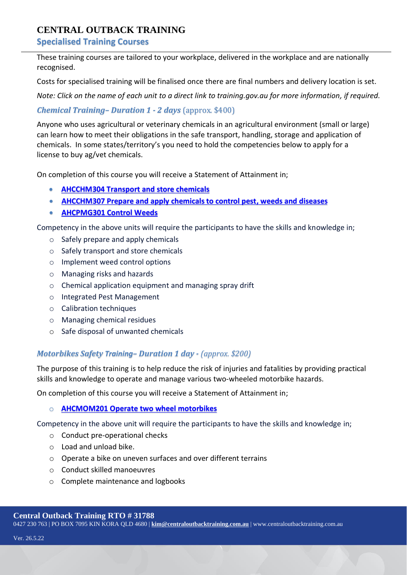# **CENTRAL OUTBACK TRAINING**

### **Specialised Training Courses**

These training courses are tailored to your workplace, delivered in the workplace and are nationally recognised.

Costs for specialised training will be finalised once there are final numbers and delivery location is set.

*Note: Click on the name of each unit to a direct link to training.gov.au for more information, if required.*

## *Chemical Training– Duration 1 - 2 days* (approx. \$400)

Anyone who uses agricultural or veterinary chemicals in an agricultural environment (small or large) can learn how to meet their obligations in the safe transport, handling, storage and application of chemicals. In some states/territory's you need to hold the competencies below to apply for a license to buy ag/vet chemicals.

On completion of this course you will receive a Statement of Attainment in;

- **[AHCCHM304 Transport and store chemicals](https://training.gov.au/Training/Details/AHCCHM304)**
- **[AHCCHM307 Prepare and apply chemicals to control pest, weeds](https://training.gov.au/Training/Details/AHCCHM307) and diseases**
- **[AHCPMG301 Control Weeds](https://training.gov.au/Training/Details/AHCPMG301)**

Competency in the above units will require the participants to have the skills and knowledge in;

- o Safely prepare and apply chemicals
- o Safely transport and store chemicals
- o Implement weed control options
- o Managing risks and hazards
- o Chemical application equipment and managing spray drift
- o Integrated Pest Management
- $\circ$  Calibration techniques
- o Managing chemical residues
- o Safe disposal of unwanted chemicals

### *Motorbikes Safety Training– Duration 1 day - (approx. \$200)*

The purpose of this training is to help reduce the risk of injuries and fatalities by providing practical skills and knowledge to operate and manage various two-wheeled motorbike hazards.

On completion of this course you will receive a Statement of Attainment in;

#### o **[AHCMOM201 Operate two](https://training.gov.au/Training/Details/AHCMOM201) wheel motorbikes**

Competency in the above unit will require the participants to have the skills and knowledge in;

- o Conduct pre-operational checks
- o Load and unload bike.
- o Operate a bike on uneven surfaces and over different terrains
- o Conduct skilled manoeuvres
- o Complete maintenance and logbooks

#### **Central Outback Training RTO # 31788**

0427 230 763 | PO BOX 7095 KIN KORA QLD 4680 | **[kim@centraloutbacktraining.com.au](mailto:kim@centraloutbacktraining.com.au)** | www.centraloutbacktraining.com.au